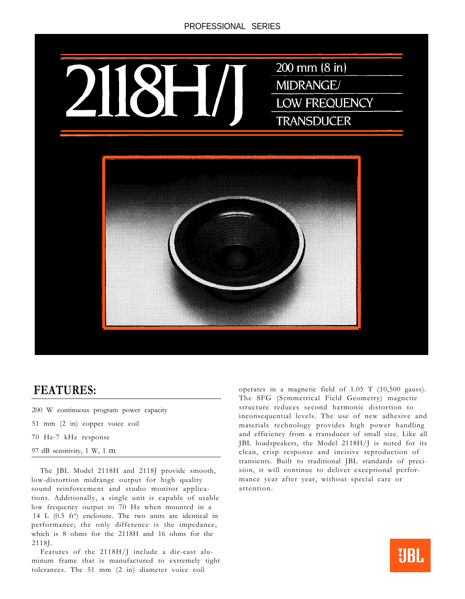

## **FEATURES:**

- 200 W continuous program power capacity
- 51 mm (2 in) copper voice coil
- 70 Hz-7 kHz response
- 97 dB sensitivity, 1 W, 1 m

The JBL Model 2118H and 2118J provide smooth, low-distortion midrange output for high quality sound reinforcement and studio monitor applications. Additionally, a single unit is capable of usable low frequency output to 70 Hz when mounted in a 14 L  $(0.5 \text{ ft}^3)$  enclosure. The two units are identical in performance; the only difference is the impedance, which is 8 ohms for the 2118H and 16 ohms for the 2118J.

Features of the 2118H/J include a die-cast aluminum frame that is manufactured to extremely tight tolerances. The 51 mm (2 in) diameter voice coil

operates in a magnetic field of 1.05 T (10,500 gauss). The SFG (Symmetrical Field Geometry) magnetic structure reduces second harmonic distortion to inconsequential levels. The use of new adhesive and materials technology provides high power handling and efficiency from a transducer of small size. Like all JBL loudspeakers, the Model 2118H/J is noted for its clean, crisp response and incisive reproduction of transients. Built to traditional JBL standards of precision, it will continue to deliver exceptional performance year after year, without special care or attention.